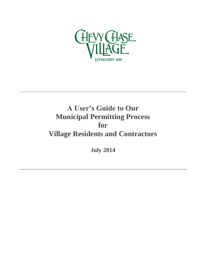

# **A User's Guide to Our Municipal Permitting Process for Village Residents and Contractors**

**July 2014**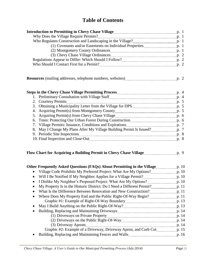# **Table of Contents**

| (3) Chevy Chase Village Ordinances [11] [2013] Chevy Chase Village Ordinances [11] [2014] [2015] [2015] [2015] [2015] [2015] [2015] [2015] [2015] [2015] [2015] [2015] [2015] [2015] [2015] [2015] [2015] [2015] [2015] [2015] |  |
|--------------------------------------------------------------------------------------------------------------------------------------------------------------------------------------------------------------------------------|--|
|                                                                                                                                                                                                                                |  |
|                                                                                                                                                                                                                                |  |
|                                                                                                                                                                                                                                |  |

| <b>Resources</b> (mailing addresses, telephone numbers, websites) |  |  |
|-------------------------------------------------------------------|--|--|
|-------------------------------------------------------------------|--|--|

| Steps in the Chevy Chase Village Permitting Process <b>Constitution</b> 2014 10:44 |                |
|------------------------------------------------------------------------------------|----------------|
|                                                                                    |                |
| 2. Courtesy Permits                                                                | p. 5           |
|                                                                                    |                |
|                                                                                    | $\mathbf{p.}5$ |
|                                                                                    |                |
|                                                                                    | p. 6           |
| 7. Village Permits: Issuance, Conditions and Expirations                           |                |
| 8. May I Change My Plans After My Village Building Permit Is Issued?               |                |
|                                                                                    | p. 8           |
|                                                                                    |                |
|                                                                                    |                |

## Flow Chart for Acquiring a Building Permit in Chevy Chase Village **p. 2006** Flow Chart for Acquiring a Building Permit in Chevy Chase Village

| Other Frequently Asked Questions (FAQs) About Permitting in the Village      | p.10    |
|------------------------------------------------------------------------------|---------|
| Village Code Prohibits My Preferred Project: What Are My Options?            | p. $10$ |
| Will I Be Notified If My Neighbor Applies for a Village Permit?<br>$\bullet$ | p. $10$ |
| I Dislike My Neighbor's Proposed Project: What Are My Options?               | p. 10   |
| My Property Is in the Historic District: Do I Need a Different Permit?       | p.11    |
| What Is the Difference Between Renovation and New Construction?<br>$\bullet$ | p.11    |
| Where Does My Property End and the Public Right-Of-Way Begin?<br>$\bullet$   | p.11    |
|                                                                              | p. 13   |
|                                                                              | p. 13   |
| $\bullet$                                                                    | p. 14   |
|                                                                              | p. 14   |
|                                                                              | p. 14   |
| (3) Driveway Aprons                                                          | p. 14   |
| Graphic #2: Example of a Driveway, Driveway Apron, and Curb Cut              | p. 15   |
| Building, Replacing and Maintaining Fences and Walls                         | p. 16   |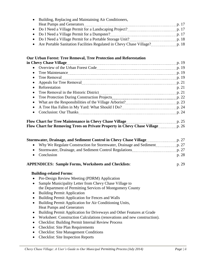| Building, Replacing and Maintaining Air Conditioners,                                                                   |       |
|-------------------------------------------------------------------------------------------------------------------------|-------|
| <b>Heat Pumps and Generators</b>                                                                                        | p. 17 |
| • Do I Need a Village Permit for a Landscaping Project? [11] [12] Do I Need a Village Permit for a Landscaping Project? | p.17  |
|                                                                                                                         |       |
|                                                                                                                         | p. 18 |
|                                                                                                                         | p. 18 |

#### **Our Urban Forest: Tree Removal, Tree Protection and Reforestation**

| in Chevy Chase Village <u>manual contract of the set of the set of the set of the set of the set of the set of the s</u>                                                                                                             |               |
|--------------------------------------------------------------------------------------------------------------------------------------------------------------------------------------------------------------------------------------|---------------|
|                                                                                                                                                                                                                                      |               |
| $\bullet$                                                                                                                                                                                                                            | p. 19         |
|                                                                                                                                                                                                                                      | p. 19         |
| • Appeals for Tree Removal <b>Constantine Constantine Constantine Constantine Constantine Constantine Constantine Constantine Constantine Constantine Constantine Constantine Constantine Constantine Constantine Constantine Co</b> | p. 21         |
| Reforestation                                                                                                                                                                                                                        | p. 21         |
|                                                                                                                                                                                                                                      | p. 21         |
|                                                                                                                                                                                                                                      |               |
| $\bullet$                                                                                                                                                                                                                            |               |
| $\bullet$                                                                                                                                                                                                                            |               |
| $\bullet$                                                                                                                                                                                                                            |               |
|                                                                                                                                                                                                                                      | $\sim$ $\sim$ |

#### Flow Chart for Tree Maintenance in Chevy Chase Village **p. 25** p. 25 Flow Chart for Removing Trees on Private Property in Chevy Chase Village **p. 26** p. 26

| Stormwater, Drainage, and Sediment Control in Chevy Chase Village p. 27    |       |
|----------------------------------------------------------------------------|-------|
| • Why We Regulate Construction for Stormwater, Drainage and Sediment p. 27 |       |
|                                                                            | p. 27 |
| • Conclusion                                                               | p. 28 |
| <b>APPENDICES: Sample Forms, Worksheets and Checklists:</b>                | p. 29 |

#### **Building-related Forms**:

- Pre-Design Review Meeting (PDRM) Application
- Sample Municipality Letter from Chevy Chase Village to the Department of Permitting Services of Montgomery County
- Building Permit Application
- Building Permit Application for Fences and Walls
- Building Permit Application for Air Conditioning Units, Heat Pumps and Generators
- Building Permit Application for Driveways and Other Features at Grade
- Worksheet: Construction Calculations (renovations and new construction).
- Checklist: Building Permit Internal Review Process
- Checklist: Site Plan Requirements
- Checklist: Site Management Conditions
- Checklist: Site Inspection Reports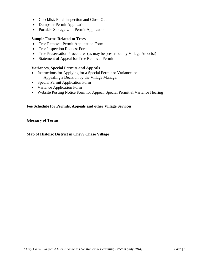- Checklist: Final Inspection and Close-Out
- Dumpster Permit Application
- Portable Storage Unit Permit Application

#### **Sample Forms Related to Trees**

- Tree Removal Permit Application Form
- Tree Inspection Request Form
- Tree Preservation Procedures (as may be prescribed by Village Arborist)
- Statement of Appeal for Tree Removal Permit

#### **Variances, Special Permits and Appeals**

- Instructions for Applying for a Special Permit or Variance, or Appealing a Decision by the Village Manager
- Special Permit Application Form
- Variance Application Form
- Website Posting Notice Form for Appeal, Special Permit & Variance Hearing

#### **Fee Schedule for Permits, Appeals and other Village Services**

**Glossary of Terms**

#### **Map of Historic District in Chevy Chase Village**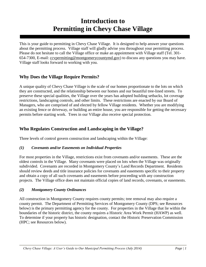# **Introduction to Permitting in Chevy Chase Village**

This is your guide to permitting in Chevy Chase Village. It is designed to help answer your questions about the permitting process. Village staff will gladly advise you throughout your permitting process. Please do not hesitate to call the Village office or make an appointment with Village staff (Tel. 301- 654-7300, E-mail: [ccvpermitting@montgomerycountymd.gov\)](mailto:ccvpermitting@montgomerycountymd.gov) to discuss any questions you may have. Village staff looks forward to working with you.

### **Why Does the Village Require Permits?**

A unique quality of Chevy Chase Village is the scale of our homes proportionate to the lots on which they are constructed, and the relationship between our homes and our beautiful tree-lined streets. To preserve these special qualities, the Village over the years has adopted building setbacks, lot coverage restrictions, landscaping controls, and other limits. These restrictions are enacted by our Board of Managers, who are comprised of and elected by fellow Village residents. Whether you are modifying an existing fence or driveway, or building an entire house, you are responsible for getting the necessary permits before starting work. Trees in our Village also receive special protection.

#### **Who Regulates Construction and Landscaping in the Village?**

Three levels of control govern construction and landscaping within the Village:

#### *(1) Covenants and/or Easements on Individual Properties*

For most properties in the Village, restrictions exist from covenants and/or easements. These are the oldest controls in the Village. Many covenants were placed on lots when the Village was originally subdivided. Covenants are recorded in Montgomery County's Land Records Department. Residents should review deeds and title insurance policies for covenants and easements specific to their property and obtain a copy of all such covenants and easements before proceeding with any construction projects. The Village office does not maintain official copies of land records, covenants, or easements.

#### *(2) Montgomery County Ordinances*

All construction in Montgomery County requires county permits; tree removal may also require a county permit. The Department of Permitting Services of Montgomery County (DPS; see Resources below) is the primary permitting agency for the county. For properties in the Village that lie within the boundaries of the historic district, the county requires a Historic Area Work Permit (HAWP) as well. To determine if your property has historic designation, contact the Historic Preservation Commission (HPC; see Resources below).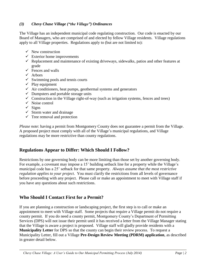#### *(3) Chevy Chase Village ("the Village") Ordinances*

The Village has an independent municipal code regulating construction. Our code is enacted by our Board of Managers, who are comprised of and elected by fellow Village residents. Village regulations apply to all Village properties. Regulations apply to (but are not limited to):

- $\checkmark$  New construction
- $\checkmark$  Exterior home improvements
- $\checkmark$  Replacement and maintenance of existing driveways, sidewalks, patios and other features at grade
- $\checkmark$  Fences and walls
- $\checkmark$  Arbors
- $\checkmark$  Swimming pools and tennis courts
- $\checkmark$  Play equipment
- $\checkmark$  Air conditioners, heat pumps, geothermal systems and generators
- $\checkmark$  Dumpsters and portable storage units
- $\checkmark$  Construction in the Village right-of-way (such as irrigation systems, fences and trees)
- $\checkmark$  Noise control
- $\checkmark$  Signs
- $\checkmark$  Storm water and drainage
- $\checkmark$  Tree removal and protection

*Please note*: having a permit from Montgomery County does not guarantee a permit from the Village. A proposed project must comply with all of the Village's municipal regulations, and Village regulations may be more restrictive than county regulations.

#### **Regulations Appear to Differ: Which Should I Follow?**

Restrictions by one governing body can be more limiting than those set by another governing body. For example, a covenant may impose a 15' building setback line for a property while the Village's municipal code has a 25' setback for that same property. *Always assume that the most restrictive regulation applies to your project*. You must clarify the restrictions from all levels of governance before proceeding with any project. Please call or make an appointment to meet with Village staff if you have any questions about such restrictions.

#### **Who Should I Contact First for a Permit?**

If you are planning a construction or landscaping project, the first step is to call or make an appointment to meet with Village staff. Some projects that require a Village permit do not require a county permit. If you do need a county permit, Montgomery County's Department of Permitting Services (DPS) will not issue their permit until it has received a letter from the Village Manager stating that the Village is aware a project is proposed. Village staff will gladly provide residents with a **Municipality Letter** for DPS so that the county can begin their review process. To request a Municipality Letter, fill out a Village **Pre-Design Review Meeting (PDRM) application**, as described in greater detail below.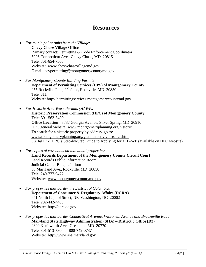## **Resources**

- *For municipal permits from the Village*: **Chevy Chase Village Office** Primary contact: Permitting & Code Enforcement Coordinator 5906 Connecticut Ave., Chevy Chase, MD 20815 Tele. 301-654-7300 Website: [www.chevychasevillagemd.gov](http://www.chevychasevillagemd.gov/) E-mail: [ccvpermitting@montgomerycountymd.gov](mailto:ccvpermitting@montgomerycountymd.gov)
- *For Montgomery County Building Permits*: **Department of Permitting Services (DPS) of Montgomery County**
	- $255$  Rockville Pike,  $2<sup>nd</sup>$  floor, Rockville, MD 20850 Tele. 311 Website: [http://permittingservices.montgomerycountymd.gov](http://permittingservices.montgomerycountymd.gov/)
- *For Historic Area Work Permits (HAWPs)*: **Historic Preservation Commission (HPC) of Montgomery County** Tele: 301-563-3400 **Office Location:** 8787 Georgia Avenue, Silver Spring, MD 20910 HPC general website: [www.montgomeryplanning.org/historic](http://www.montgomeryplanning.org/historic) To search for a historic property by address, go to: [www.montgomeryplanning.org/gis/interactive/historic.shtm.](http://www.montgomeryplanning.org/gis/interactive/historic.shtm) Useful link: HPC's [Step-by-Step Guide to Applying for a HAWP](http://www.montgomeryplanning.org/historic/instructions/hawp_step1.shtm) (available on HPC website)
- *For copies of covenants on individual properties*: **Land Records Department of the Montgomery County Circuit Court** Land Records Public Information Room Judicial Center Bldg., 2<sup>nd</sup> floor 30 Maryland Ave., Rockville, MD 20850 Tele. 240-777-9477 Website: [www.montgomerycountymd.gov](http://www.montgomerycountymd.gov/)
- *For properties that border the District of Columbia:* **Department of Consumer & Regulatory Affairs (DCRA)** 941 North Capitol Street, NE, Washington, DC 20002 Tele. 202-442-4400 Website: http://dcra.dc.gov
- *For properties that border Connecticut Avenue, Wisconsin Avenue and Brookeville Road:* **Maryland State Highway Administration (SHA) – District 3 Office (D3)** 9300 Kenilworth Ave., Greenbelt, MD 20770 Tele. 301-513-7300 or 800-749-0737 Website: http://www.sha.maryland.gov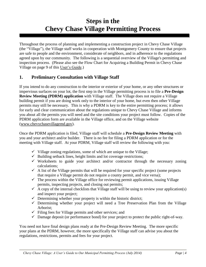# **Steps in the Chevy Chase Village Permitting Process**

Throughout the process of planning and implementing a construction project in Chevy Chase Village (the "Village"), the Village staff works in cooperation with Montgomery County to ensure that projects are safe to people and the environment, considerate of neighbors, and in adherence to the regulations agreed upon by our community. The following is a sequential overview of the Village's permitting and inspection process. (Please also see the Flow Chart for Acquiring a Building Permit in Chevy Chase Village on page 9 of this User's Guide.)

#### **1. Preliminary Consultation with Village Staff**

If you intend to do any construction to the interior or exterior of your home, or any other structures or impervious surfaces on your lot, the first step in the Village permitting process is to file a **Pre-Design Review Meeting (PDRM) application** with Village staff. The Village does not require a Village building permit if you are doing work only to the interior of your home, but even then other Village permits may still be necessary. This is why a PDRM is key to the entire permitting process; it allows for early and clear communication about the regulations unique to Chevy Chase Village and informs you about all the permits you will need and the site conditions your project must follow. Copies of the PDRM application form are available in the Village office, and on the Village website [\(www.chevychasevillagemd.gov\)](http://www.chevychasevillagemd.gov/).

Once the PDRM application is filed, Village staff will schedule a **Pre-Design Review Meeting** with you and your architect and/or builder. There is no fee for filing a PDRM application or for the meeting with Village staff. At your PDRM, Village staff will review the following with you:

- $\checkmark$  Village zoning regulations, some of which are unique to the Village;
- $\checkmark$  Building setback lines, height limits and lot coverage restrictions;
- $\checkmark$  Worksheets to guide your architect and/or contractor through the necessary zoning calculations;
- $\checkmark$  A list of the Village permits that will be required for your specific project (some projects that require a Village permit do not require a county permit, and vice versa);
- $\checkmark$  The process within the Village office for reviewing permit applications, issuing Village permits, inspecting projects, and closing out permits;
- $\checkmark$  A copy of the internal checklists that Village staff will be using to review your application(s) and inspect your project;
- $\checkmark$  Determining whether your property is within the historic district;
- $\checkmark$  Determining whether your project will need a Tree Preservation Plan from the Village Arborist;
- $\checkmark$  Filing fees for Village permits and other services; and
- $\checkmark$  Damage deposit (or performance bond) for your project to protect the public right-of-way.

You need not have final design plans ready at the Pre-Design Review Meeting. The more specific your plans at the PDRM, however, the more specifically the Village staff can advise you about the regulations, restrictions, permits and fees for your project.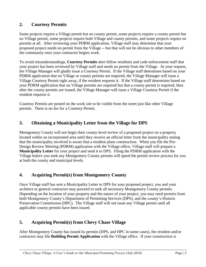### **2. Courtesy Permits**

Some projects require a Village permit but no county permit, some projects require a county permit but no Village permit, some projects require both Village and county permits, and some projects require no permits at all. After reviewing your PDRM application, Village staff may determine that your proposed project needs no permit from the Village -- but that will not be obvious to other members of the community once your contractor begins work.

To avoid misunderstandings, **Courtesy Permits** alert fellow residents and code enforcement staff that your project has been reviewed by Village staff and needs no permit from the Village. At your request, the Village Manager will gladly issue a Courtesy Permit. If the Village staff determines based on your PDRM application that no Village or county permits are required, the Village Manager will issue a Village Courtesy Permit right away, if the resident requests it. If the Village staff determines based on your PDRM application that no Village permits are required but that a county permit is required, then after the county permits are issued, the Village Manager will issue a Village Courtesy Permit if the resident requests it.

Courtesy Permits are posted on the work site to be visible from the street just like other Village permits. There is no fee for a Courtesy Permit.

### **3. Obtaining a Municipality Letter from the Village for DPS**

Montgomery County will not begin their county-level review of a proposed project on a property located within an incorporated area until they receive an official letter from the municipality stating that the municipality involved is aware that a resident plans construction. When you file the Pre-Design Review Meeting (PDRM) application with the Village office, Village staff will prepare a **Municipality Letter** for your project and send it to DPS. Filing the PDRM application with the Village *before* you seek any Montgomery County permits will speed the permit review process for you at both the county and municipal levels.

## **4. Acquiring Permit(s) from Montgomery County**

Once Village staff has sent a Municipality Letter to DPS for your proposed project, you and your architect or general contractor may proceed to seek all necessary Montgomery County permits. Depending on the location of your property and the nature of your project, you may need permits from both Montgomery County's Department of Permitting Services (DPS), and the county's Historic Preservation Commission (HPC). The Village staff will not issue any Village permit until all applicable county permits have been issued.

## **5. Acquiring Permit(s) from Chevy Chase Village**

After Montgomery County has issued its permits (DPS, and HPC in some cases), the resident and/or contractor may file **Building Permit Application** with the Village office. If your construction is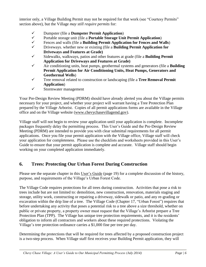interior only, a Village Building Permit may not be required for that work (see "Courtesy Permits" section above), but the Village *may still require permits* for:

- Dumpster (file a **Dumpster Permit Application**)
- Portable storage unit (file a **Portable Storage Unit Permit Application**)
- Fences and walls (file a **Building Permit Application for Fences and Walls**)
- Driveways. whether new or existing (file a **Building Permit Application for Driveways and Features at Grade)**
- Sidewalks, walkways, patios and other features at grade (file a **Building Permit Application for Driveways and Features at Grade)**
- Air conditioning units, heat pumps, geothermal systems and generators (file a **Building Permit Application for Air Conditioning Units, Heat Pumps, Generators and Geothermal Wells**)
- Tree removal related to construction or landscaping (file a **Tree Removal Permit Application**)
- $\checkmark$  Stormwater management

Your Pre-Design Review Meeting (PDRM) should have already alerted you about the Village permits necessary for your project, and whether your project will warrant having a Tree Protection Plan prepared by the Village Arborist. Copies of all permit applications forms are available in the Village office and on the Village website [\(www.chevychasevillagemd.gov\)](http://www.chevychasevillagemd.gov/).

Village staff will not begin to review your application until your application is complete. Incomplete packages frequently delay the permitting process. This User's Guide and the Pre-Design Review Meeting (PDRM) are intended to provide you with clear submittal requirements for all permit applications. Once you file your permit application with the Village office, Village staff will check your application for completeness. Please use the checklists and worksheets provided in this User's Guide to ensure that your permit application is complete and accurate. Village staff should begin working on your completed application immediately.

## **6. Trees: Protecting Our Urban Forest During Construction**

Please see the separate chapter in this User's Guide (page 19) for a complete discussion of the history, purpose, and requirements of the Village's Urban Forest Code.

The Village Code requires protections for all trees during construction. Activities that pose a risk to trees include but are not limited to: demolition, new construction, renovation, materials staging and storage, utility work, constructing or repairing a driveway, sidewalk or patio, and any re-grading or excavation within the drip line of a tree. The Village Code (Chapter 17, "Urban Forest") requires that before undertaking any activity that poses a potential risk to a tree above a size threshold, whether on public or private property, a property owner must request that the Village's Arborist prepare a Tree Protection Plan (TPP). The Village has unique tree protection requirements, and it is the residents' obligation to inform all contractors and workers about these required protections. Violating the Village's tree protection ordinance carries a \$1,000 fine per tree per day.

Determining the protections that will be required for trees affected by a proposed construction project is a two-step process. When Village staff first receives your Building Permit application, they will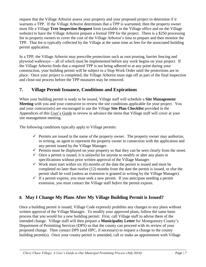request that the Village Arborist assess your property and your proposed project to determine if it warrants a TPP. If the Village Arborist determines that a TPP is warranted, then the property owner must file a Village **Tree Inspection Request** form (available in the Village office and on the Village website) to have the Village Arborist prepare a formal TPP for the project. There is a \$250 processing fee to property owners to cover the cost of the Village Arborist's time to prepare and then monitor the TPP. That fee is typically collected by the Village at the same time as fees for the associated building permit application.

In a TPP, the Village Arborist may prescribe protections such as root pruning, barrier fencing and plywood walkways -- all of which must be implemented before any work begins on your project. If the Village Arborist finds that a required TPP is not being adhered to at any point during your construction, your building permit will be subject to a Stop Work Order until the protections are in place. Once your project is completed, the Village Arborist must sign off as part of the final inspection and close-out process before the TPP measures may be removed.

## **7. Village Permit Issuance, Conditions and Expirations**

When your building permit is ready to be issued, Village staff will schedule a **Site Management Meeting** with you and your contractor to review the site conditions applicable for your project. You and your contractor(s) are encouraged to use the Village **Site Plan Checklist** provided in the Appendices of this User's Guide to review in advance the items that Village staff will cover at your site management meeting.

The following conditions typically apply to Village permits:

- $\checkmark$  Permits are issued in the name of the property owner. The property owner may authorize, in writing, an agent to represent the property owner in connection with the application and any permit issued by the Village Manager.
- $\checkmark$  Permits must be displayed on your property so that they can be seen clearly from the street.
- $\checkmark$  Once a permit is issued, it is unlawful for anyone to modify or alter any plans or specifications without prior written approval of the Village Manager.
- $\checkmark$  Work must start within six (6) months of the date the permit is issued and must be completed no later than twelve (12) months from the date the permit is issued, or else the permit shall be void (unless an extension is granted in writing by the Village Manager).
- $\checkmark$  If a permit expires, you must seek a new permit. If you anticipate needing a permit extension, you must contact the Village staff *before* the permit expires.

## **8. May I Change My Plans After My Village Building Permit is Issued?**

Once a building permit is issued, Village Code expressly prohibits any changes to any plans without written approval of the Village Manager. To modify your approved plans, follow the same basic process that you would for a new building permit: First, call Village staff to advise them of the intended change. Village staff will then prepare a **Municipality Letter** for Montgomery County's Department of Permitting Services (DPS) so that the county can proceed with its review of your proposed change. Then contact DPS (and HPC, if necessary) to request a change to the county building permit(s). Once your county permit is amended, call or make an appointment with Village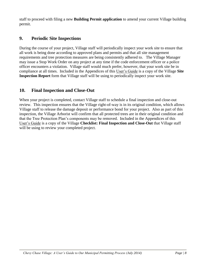staff to proceed with filing a new **Building Permit application** to amend your current Village building permit.

#### **9. Periodic Site Inspections**

During the course of your project, Village staff will periodically inspect your work site to ensure that all work is being done according to approved plans and permits and that all site management requirements and tree protection measures are being consistently adhered to. The Village Manager may issue a Stop Work Order on any project at any time if the code enforcement officer or a police officer encounters a violation. Village staff would much prefer, however, that your work site be in compliance at all times. Included in the Appendices of this User's Guide is a copy of the Village **Site Inspection Report** form that Village staff will be using to periodically inspect your work site.

### **10. Final Inspection and Close-Out**

When your project is completed, contact Village staff to schedule a final inspection and close-out review. This inspection ensures that the Village right-of-way is in its original condition, which allows Village staff to release the damage deposit or performance bond for your project. Also as part of this inspection, the Village Arborist will confirm that all protected trees are in their original condition and that the Tree Protection Plan's components may be removed. Included in the Appendices of this User's Guide is a copy of the Village **Checklist: Final Inspection and Close-Out** that Village staff will be using to review your completed project.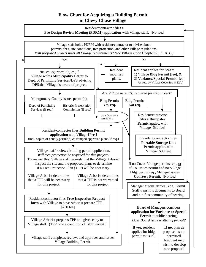#### **Flow Chart for Acquiring a Building Permit in Chevy Chase Village**

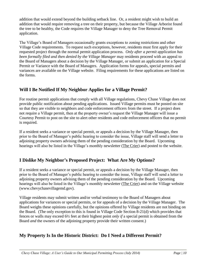addition that would extend beyond the building setback line. Or, a resident might wish to build an addition that would require removing a tree on their property, but because the Village Arborist found the tree to be healthy, the Code requires the Village Manager to deny the Tree Removal Permit application.

The Village's Board of Managers occasionally grants exceptions to zoning restrictions and other Village Code requirements. To request such exceptions, however, residents must first apply for their requested project through the normal permit application process. *Only after a permit application has been formally filed and then denied by the Village Manager* may residents proceed with an appeal to the Board of Managers about a decision by the Village Manager, or submit an application for a Special Permit or Variance with the Board of Managers. Application forms for appeals, special permits and variances are available on the Village website. Filing requirements for these applications are listed on the forms.

## **Will I Be Notified If My Neighbor Applies for a Village Permit?**

For routine permit applications that comply with all Village regulations, Chevy Chase Village does not provide public notification about pending applications. Issued Village permits must be posted on site so that they are visible to neighbors and code enforcement officers from the street. If a project does not require a Village permit, then at the property owner's request the Village Manager will issue a Courtesy Permit to post on the site to alert other residents and code enforcement officers that no permit is required.

If a resident seeks a variance or special permit, or appeals a decision by the Village Manager, then prior to the Board of Manager's public hearing to consider the issue, Village staff will send a letter to adjoining property owners advising them of the pending consideration by the Board. Upcoming hearings will also be listed in the Village's monthly newsletter (The Crier) and posted to the website.

## **I Dislike My Neighbor's Proposed Project: What Are My Options?**

If a resident seeks a variance or special permit, or appeals a decision by the Village Manager, then prior to the Board of Manager's public hearing to consider the issue, Village staff will send a letter to adjoining property owners advising them of the pending consideration by the Board. Upcoming hearings will also be listed in the Village's monthly newsletter (The Crier) and on the Village website (www.chevychasevillagemd.gov).

Village residents may submit written and/or verbal testimony to the Board of Managers about applications for variances or special permits, or for appeals of a decision by the Village Manager. The Board weighs these opinions carefully, but the opinions offered by Village residents are not binding on the Board. (The only exception to this is found in Village Code Section 8-21(d) which provides that fences or walls may exceed 6½ feet at their highest point *only if* a special permit is obtained from the Board *and* the owners of the adjoining property provide their written consent.)

## **My Property Is In the Historic District: Do I Need a Different Permit?**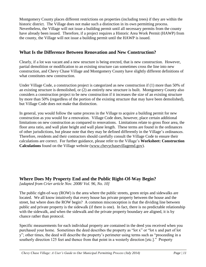Montgomery County places different restrictions on properties (including trees) if they are within the historic district. The Village does not make such a distinction in its own permitting process. Nevertheless, the Village will not issue a building permit until all necessary permits from the county have already been issued. Therefore, if a project requires a Historic Area Work Permit (HAWP) from the county, the Village will not issue a building permit until the HAWP is issued.

#### **What Is the Difference Between Renovation and New Construction?**

Clearly, if a lot was vacant and a new structure is being erected, that is new construction. However, partial demolition or modification to an existing structure can sometimes cross the line into new construction, and Chevy Chase Village and Montgomery County have slightly different definitions of what constitutes new construction.

Under Village Code, a construction project is categorized as new construction if (1) more than 50% of an existing structure is demolished, or (2) an entirely new structure is built. Montgomery County also considers a construction project to be new construction if it increases the size of an existing structure by more than 50% (regardless of the portion of the existing structure that may have been demolished), but Village Code does not make that distinction.

In general, you would follow the same process in the Village to acquire a building permit for new construction as you would for a renovation. Village Code does, however, place certain additional limitations on new construction as compared to renovations. Limitations relate to gross floor area, the floor area ratio, and wall plate height and wall plane length. These terms are found in the ordinances of other jurisdictions, but please note that they may be defined differently in the Village's ordinances. Therefore, residents and their contractors should carefully consult the Village Code to ensure their calculations are correct. For further guidance, please refer to the Village's **Worksheet: Construction Calculations** found on the Village website [\(www.chevychasevillagemd.gov\)](http://www.chevychasevillagemd.gov/).

#### **Where Does My Property End and the Public Right-Of-Way Begin?**

*[adapted from Crier article Nov. 2008/ Vol. 96, No. 10]*

The public right-of-way (ROW) is the area where the public streets, green strips and sidewalks are located. We all know intuitively that every house has private property between the house and the street, but where does the ROW begin? A common misconception is that the dividing line between public and private property is the sidewalk (if there is one). In fact, there is no predictable relationship with the sidewalk, and when the sidewalk and the private property boundary are aligned, it is by chance rather than protocol.

Specific measurements for each individual property are contained in the deed you received when you purchased your home. Sometimes the deed describes the property as "lot x" or "lot x and part of lot y"; other times, the deed will describe the property's perimeter using terms such as "proceeding in a southerly direction 125 feet and thence from that point in a westerly direction [etc.]." Property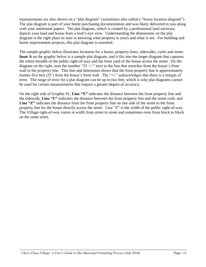measurements are also shown on a "plat diagram" (sometimes also called a "house location diagram"). The plat diagram is part of your home purchasing documentation and was likely delivered to you along with your settlement papers. The plat diagram, which is created by a professional land surveyor, depicts your land and house from a bird's-eye view. Understanding the dimensions on the plat diagram is the right place to start in knowing what property is yours and what is not. For building and home improvement projects, this plat diagram is essential.

The sample graphic below illustrates locations for a house, property lines, sidewalks, curbs and street. **Inset A** on the graphic below is a sample plat diagram, and it fits into the larger diagram that captures the entire breadth of the public right-of-way and the front yard of the house across the street. On the diagram on the right, note the number "25  $+/-$ " next to the line that stretches from the house's front wall to the property line. This line and dimension shows that the front property line is approximately twenty-five feet (25') from the house's front wall. The "+/-" acknowledges that there is a margin of error. The range of error for a plat diagram can be up to two feet, which is why plat diagrams cannot be used for certain measurements that require a greater degree of accuracy.

On the right side of Graphic #1, **Line "X"** indicates the distance between the front property line and the sidewalk, **Line "Y"** indicates the distance between the front property line and the street curb, and **Line "Z"** indicates the distance from the front property line on one side of the street to the front property line for the house directly across the street. Line "Z" is the width of the public right-of-way. The Village right-of-way varies in width from street to street and sometimes even from block to block on the same street.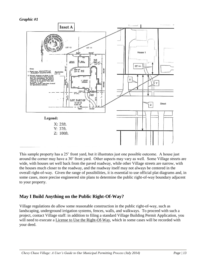*Graphic #1*



This sample property has a 25' front yard, but it illustrates just one possible outcome. A house just around the corner may have a 30' front yard. Other aspects may vary as well. Some Village streets are wide, with houses set well back from the paved roadway, while other Village streets are narrow, with the houses much closer to the roadway, and the roadway itself may not always be centered in the overall right-of-way. Given the range of possibilities, it is essential to use official plat diagrams and, in some cases, more precise engineered site plans to determine the public right-of-way boundary adjacent to your property.

## **May I Build Anything on the Public Right-Of-Way?**

Village regulations do allow some reasonable construction in the public right-of-way, such as landscaping, underground irrigation systems, fences, walls, and walkways. To proceed with such a project, contact Village staff: in addition to filing a standard Village Building Permit Application, you will need to execute a License to Use the Right-Of-Way, which in some cases will be recorded with your deed.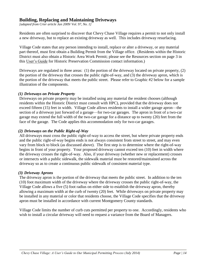#### **Building, Replacing and Maintaining Driveways**

*[adapted from Crier article Jan 2009/ Vol. 97, No. 1]*

Residents are often surprised to discover that Chevy Chase Village requires a permit to not only install a new driveway, but to replace an existing driveway as well. This includes driveway resurfacing.

Village Code states that any person intending to install, replace or alter a driveway, or any material part thereof, must first obtain a Building Permit from the Village office. (Residents within the Historic District must also obtain a Historic Area Work Permit; please see the Resources section on page 3 in this User's Guide for Historic Preservation Commission contact information.)

Driveways are regulated in three areas: (1) the portion of the driveway located on private property, (2) the portion of the driveway that crosses the public right-of-way, and (3) the driveway apron, which is the portion of the driveway that meets the public street. Please refer to Graphic #2 below for a sample illustration of the components.

#### *(1) Driveways on Private Property*

Driveways on private property may be installed using any material the resident chooses (although residents within the Historic District must consult with HPC), provided that the driveway does not exceed fifteen (15) feet in width. Village Code allows residents to install a wider garage apron—the section of a driveway just forward of a garage—for two-car garages. The apron in front of a two-car garage may extend the full width of the two-car garage for a distance up to twenty (20) feet from the face of the garage. The Code applies this accommodation only for two-car garages.

#### *(2) Driveways on the Public Right-of-Way*

All driveways must cross the public right-of-way to access the street, but where private property ends and the public right-of-way begins ends is not always consistent from street to street, and may even vary from block to block (as discussed above). The first step is to determine where the right-of-way begins in front of your property. Your proposed driveway cannot exceed ten (10) feet in width where the driveway crosses the right-of-way. Also, if your driveway (whether new or replacement) crosses or intersects with a public sidewalk, the sidewalk material must be restored/maintained across the driveway so as to create a continuous public sidewalk of consistent material type.

#### *(3) Driveway Aprons*

The driveway apron is the portion of the driveway that meets the public street. In addition to the ten (10) foot maximum width of the driveway where the driveway crosses the public right-of-way, the Village Code allows a five (5) foot radius on either side to establish the driveway apron, thereby allowing a maximum width at the curb of twenty (20) feet. While driveways on private property may be installed in any material or color that residents choose, the Village Code specifies that the driveway apron must be installed in accordance with current Montgomery County standards.

Village Code limits the number of curb cuts permitted per property to one. Accordingly, residents who wish to install a circular driveway will need to request a variance from the Board of Managers.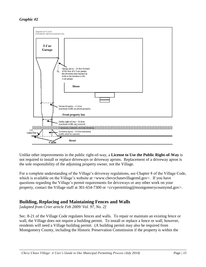

Unlike other improvements in the public right-of-way, a **License to Use the Public Right-of-Way** is not required to install or replace driveways or driveway aprons. Replacement of a driveway apron is the sole responsibility of the adjoining property owner, not the Village.

For a complete understanding of the Village's driveway regulations, see Chapter 8 of the Village Code, which is available on the Village's website at  $\leq$ www.chevychasevillagemd.gov>. If you have questions regarding the Village's permit requirements for driveways or any other work on your property, contact the Village staff at 301-654-7300 or <ccvpermitting@montgomerycountymd.gov>.

## **Building, Replacing and Maintaining Fences and Walls**

*[adapted from Crier article Feb 2009/ Vol. 97, No. 2]*

Sec. 8-21 of the Village Code regulates fences and walls. To repair or maintain an existing fence or wall, the Village does not require a building permit. To install or replace a fence or wall, however, residents will need a Village building permit. (A building permit may also be required from Montgomery County, including the Historic Preservation Commission if the property is within the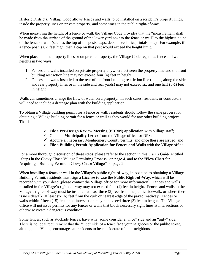Historic District). Village Code allows fences and walls to be installed on a resident's property lines, inside the property lines on private property, and sometimes in the public right-of-way.

When measuring the height of a fence or wall, the Village Code provides that the "measurement shall be made from the surface of the ground of the lower yard next to the fence or wall" to the highest point of the fence or wall (such as the top of the posts, caps, decorative lattice, finials, etc.). For example, if a fence post is 6½ feet high, then a cap on that post would exceed the height limit.

When placed on the property lines or on private property, the Village Code regulates fence and wall heights in two ways:

- 1. Fences and walls installed on private property anywhere between the property line and the front building restriction line may not exceed four (4) feet in height.
- 2. Fences and walls installed to the rear of the front building restriction line (that is, along the side and rear property lines or in the side and rear yards) may not exceed six and one half  $(6\frac{1}{2})$  feet in height.

Walls can sometimes change the flow of water on a property. In such cases, residents or contractors will need to include a drainage plan with the building application.

To obtain a Village building permit for a fence or wall, residents should follow the same process for obtaining a Village building permit for a fence or wall as they would for any other building project. That is:

- File a **Pre-Design Review Meeting (PDRM) application** with Village staff;
- Obtain a **Municipality Letter** from the Village office for DPS;
- $\checkmark$  Acquire all necessary Montgomery County permits, and once these are issued; and
- File a **Building Permit Application for Fences and Walls** with the Village office.

For a more thorough discussion of these steps, please refer to the section in this User's Guide entitled "Steps in the Chevy Chase Village Permitting Process" on page 4, and to the "Flow Chart for Acquiring a Building Permit in Chevy Chase Village" on page 9.

When installing a fence or wall in the Village's public right-of-way, in addition to obtaining a Village Building Permit, residents must sign a **License to Use the Public Right-of-Way**, which will be recorded with your deed (please contact the Village office for more information). Fences and walls installed in the Village's rights-of-way may not exceed four (4) feet in height. Fences and walls in the Village's rights-of-way must be installed at least three (3) feet from the public sidewalk, or where there is no sidewalk, at least six (6) feet from the curb or nearest edge of the paved roadway. Fences or walls within fifteen (15) feet of an intersection may not exceed three (3) feet in height. The Village office will not issue permits for any fences or walls that block necessary sight lines at intersections or otherwise create a dangerous condition.

Some fences, such as stockade fences, have what some consider a "nice" side and an "ugly" side. There is no legal requirement that the "nice" side of a fence face your neighbors or the public street, although the Village encourages all residents to be considerate of their neighbors.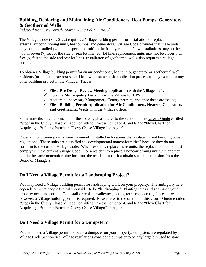#### **Building, Replacing and Maintaining Air Conditioners, Heat Pumps, Generators & Geothermal Wells**

[*adapted from Crier article March 2009/ Vol. 97, No. 3*]

The Village Code (Sec. 8-22) requires a Village building permit for installation or replacement of external air conditioning units, heat pumps, and generators. Village Code provides that these units may not be installed (without a special permit) in the front yard at all. New installations may not be within seven (7) feet of the side or rear lot line rear lot line; replacement units may not be closer than five (5) feet to the side and rear lot lines. Installation of geothermal wells also requires a Village permit.

To obtain a Village building permit for an air conditioner, heat pump, generator or geothermal well, residents (or their contractors) should follow the same basic application process as they would for any other building project in the Village. That is:

- File a **Pre-Design Review Meeting application** with the Village staff;
- Obtain a **Municipality Letter** from the Village for DPS;
- $\checkmark$  Acquire all necessary Montgomery County permits, and once these are issued;
- File a **Building Permit Application for Air Conditioners, Heaters, Generators and Geothermal Wells** with the Village office.

For a more thorough discussion of these steps, please refer to the section in this User's Guide entitled "Steps in the Chevy Chase Village Permitting Process" on page 4, and to the "Flow Chart for Acquiring a Building Permit in Chevy Chase Village" on page 9.

Older air conditioning units were commonly installed in locations that violate current building code regulations. These units are classified as "developmental nonconformities" because they do not conform to the current Village Code. When residents replace these units, the replacement units must comply with the current Village Code. For a resident to replace a nonconforming unit with another unit in the same nonconforming location, the resident must first obtain special permission from the Board of Managers.

#### **Do I Need a Village Permit for a Landscaping Project?**

You may need a Village building permit for landscaping work on your property. The ambiguity here depends on what people typically consider to be "landscaping." Planting trees and shrubs on your property needs no permit. To install or replace walkways, patios, terraces, porches, fences or walls, however, a Village building permit is required. Please refer to the section in this User's Guide entitled "Steps in the Chevy Chase Village Permitting Process" on page 4, and to the "Flow Chart for Acquiring a Building Permit in Chevy Chase Village" on page 9.

#### **Do I Need a Village Permit for a Dumpster?**

You will need a Village permit to locate a dumpster on your property; dumpsters are regulated by Village Code Section 8-7. Village regulations consider a dumpster to be any large bin used to store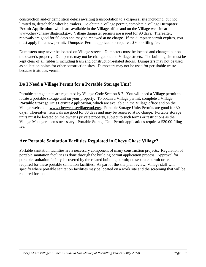construction and/or demolition debris awaiting transportation to a dispersal site including, but not limited to, detachable wheeled trailers. To obtain a Village permit, complete a Village **Dumpster Permit Application**, which are available in the Village office and on the Village website at [www.chevychasevillagemd.gov.](http://www.chevychasevillagemd.gov/) Village dumpster permits are issued for 90 days. Thereafter, renewals are good for 60 days and may be renewed at no charge. If the dumpster permit expires, you must apply for a new permit. Dumpster Permit applications require a \$30.00 filing fee.

Dumpsters may never be located on Village streets. Dumpsters must be located and changed out on the owner's property. Dumpsters may not be changed out on Village streets. The building site must be kept clear of all rubbish, including trash and construction-related debris. Dumpsters may not be used as collection points for other construction sites. Dumpsters may not be used for perishable waste because it attracts vermin.

## **Do I Need a Village Permit for a Portable Storage Unit?**

Portable storage units are regulated by Village Code Section 8-7. You will need a Village permit to locate a portable storage unit on your property. To obtain a Village permit, complete a Village **Portable Storage Unit Permit Application**, which are available in the Village office and on the Village website at [www.chevychasevillagemd.gov.](http://www.chevychasevillagemd.gov/) Portable Storage Units Permits are good for 30 days. Thereafter, renewals are good for 30 days and may be renewed at no charge. Portable storage units must be located on the owner's private property, subject to such terms or restrictions as the Village Manager deems necessary. Portable Storage Unit Permit applications require a \$30.00 filing fee.

## **Are Portable Sanitation Facilities Regulated in Chevy Chase Village?**

Portable sanitation facilities are a necessary component of many construction projects. Regulation of portable sanitation facilities is done through the building permit application process. Approval for portable sanitation facility is covered by the related building permit; no separate permit or fee is required for these portable sanitation facilities. As part of the site plan review, Village staff will specify where portable sanitation facilities may be located on a work site and the screening that will be required for them.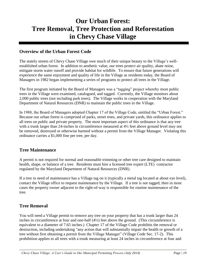# **Our Urban Forest: Tree Removal, Tree Protection and Reforestation in Chevy Chase Village**

#### **Overview of the Urban Forest Code**

The stately streets of Chevy Chase Village owe much of their unique beauty to the Village's wellestablished urban forest. In addition to aesthetic value, our trees protect air quality, abate noise, mitigate storm water runoff and provide habitat for wildlife. To ensure that future generations will experience the same enjoyment and quality of life in the Village as residents today, the Board of Managers in 1982 began implementing a series of programs to protect all trees in the Village.

The first program initiated by the Board of Managers was a "tagging" project whereby most public trees in the Village were examined, catalogued, and tagged. Currently, the Village monitors about 2,000 public trees (not including park trees). The Village works in cooperation with the Maryland Department of Natural Resources (DNR) to maintain the public trees in the Village.

In 1988, the Board of Managers adopted Chapter 17 of the Village Code, entitled the "Urban Forest." Because our urban forest is comprised of parks, street trees, and private yards, this ordinance applies to all trees on public and private property. The most important aspect of this ordinance is that any tree with a trunk larger than 24-inches in circumference measured at 4½ feet above ground level may not be removed, destroyed or otherwise harmed without a permit from the Village Manager. Violating this ordinance carries a \$1,000 fine per tree, per day.

#### **Tree Maintenance**

A permit is not required for normal and reasonable trimming or other tree care designed to maintain health, shape, or balance of a tree. Residents must hire a licensed tree expert (LTE) contractor regulated by the Maryland Department of Natural Resources (DNR).

If a tree in need of maintenance has a Village tag on it (typically a metal tag located at about eye level), contact the Village office to request maintenance by the Village. If a tree is not tagged, then in most cases the property owner adjacent to the right-of-way is responsible for routine maintenance of the tree.

#### **Tree Removal**

You will need a Village permit to remove any tree on your property that has a trunk larger than 24 inches in circumference at four and one-half (4½) feet above the ground. (This circumference is equivalent to a diameter of 7.65 inches.) Chapter 17 of the Village Code prohibits the removal or destruction, including undertaking "any action that will substantially impair the health or growth of a tree without first obtaining a permit from the Village Manager" (Village Code Sec. 17-2). This prohibition applies to all trees with a trunk measuring at least 24 inches in circumference at four and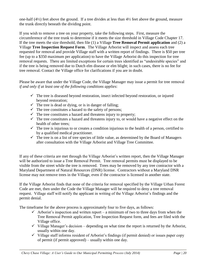one-half (4½) feet above the ground. If a tree divides at less than 4½ feet above the ground, measure the trunk directly beneath the dividing point.

If you wish to remove a tree on your property, take the following steps. First, measure the circumference of the tree trunk to determine if it meets the size threshold in Village Code Chapter 17. If the tree meets the size threshold, then file (1) a Village **Tree Removal Permit application** and (2) a Village **Tree Inspection Request Form**. The Village Arborist will inspect and assess each tree requested for removal and provide Village staff with a written report of findings. There is \$50 per tree fee (up to a \$350 maximum per application) to have the Village Arborist do this inspection for tree removal requests. There are limited exceptions for certain trees identified as "undesirable species" and if the tree is being removed due to Dutch elm disease or elm blight; in such cases, there is no fee for tree removal. Contact the Village office for clarifications if you are in doubt.

Please be aware that under the Village Code, the Village Manager may issue a permit for tree removal *if and only if at least one of the following conditions applies*:

- $\checkmark$  The tree is diseased beyond restoration, insect infected beyond restoration, or injured beyond restoration;
- $\checkmark$  The tree is dead or dying, or is in danger of falling;
- $\checkmark$  The tree constitutes a hazard to the safety of persons;
- $\checkmark$  The tree constitutes a hazard and threatens injury to property;
- $\checkmark$  The tree constitutes a hazard and threatens injury to, or would have a negative effect on the health of other trees;
- $\checkmark$  The tree is injurious to or creates a condition injurious to the health of a person, certified to by a qualified medical practitioner.
- $\checkmark$  The tree is on a list of tree species of little value, as determined by the Board of Managers after consultation with the Village Arborist and Village Tree Committee.

If any of these criteria are met through the Village Arborist's written report, then the Village Manager will be authorized to issue a Tree Removal Permit. Tree removal permits must be displayed to be visible from the street while the tree is removed. Trees may be removed by any tree contractor with a Maryland Department of Natural Resources (DNR) license. Contractors without a Maryland DNR license may not remove trees in the Village, even if the contractor is licensed in another state.

If the Village Arborist finds that none of the criteria for removal specified by the Village Urban Forest Code are met, then under the Code the Village Manager will be required to deny a tree removal request. Village staff will notify the applicant in writing of the Village Arborist's findings and the permit denial.

The timeframe for the above process is approximately four to five days, as follows:

- $\checkmark$  Arborist's inspection and written report a minimum of two to three days from when the Tree Removal Permit application, Tree Inspection Request form, and fees are filed with the Village office.
- $\checkmark$  Village Manager's decision depending on what time the report is returned by the Arborist, usually within one day.
- $\checkmark$  Village staff informs resident of Arborist's findings (if permit denied) or issues paper copy of permit (if permit approved) – usually within one day.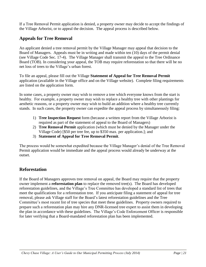If a Tree Removal Permit application is denied, a property owner may decide to accept the findings of the Village Arborist, or to appeal the decision. The appeal process is described below.

#### **Appeals for Tree Removal**

An applicant denied a tree removal permit by the Village Manager may appeal that decision to the Board of Managers. Appeals must be in writing and made within ten (10) days of the permit denial (see Village Code Sec. 17-4). The Village Manager shall transmit the appeal to the Tree Ordinance Board (TOB). In considering your appeal, the TOB may require reforestation so that there will be no net loss of trees to the Village's urban forest.

To file an appeal, please fill out the Village **Statement of Appeal for Tree Removal Permit** application (available in the Village office and on the Village website). Complete filing requirements are listed on the application form.

In some cases, a property owner may wish to remove a tree which everyone knows from the start is healthy. For example, a property owner may wish to replace a healthy tree with other plantings for aesthetic reasons, or a property owner may wish to build an addition where a healthy tree currently stands. In such cases, the property owner can expedite the appeal process by simultaneously filing:

- 1) **Tree Inspection Request** form (because a written report from the Village Arborist is required as part of the statement of appeal to the Board of Managers)
- 2) **Tree Removal Permit** application (which must be denied by the Manager under the Village Code) [\$50 per tree fee, up to \$350 max. per application.]; and
- 3) **Statement of Appeal for Tree Removal Permit**.

The process would be somewhat expedited because the Village Manager's denial of the Tree Removal Permit application would be immediate and the appeal process would already be underway at the outset.

#### **Reforestation**

If the Board of Managers approves tree removal on appeal, the Board may require that the property owner implement a **reforestation plan** to replace the removed tree(s). The Board has developed reforestation guidelines, and the Village's Tree Committee has developed a standard list of trees that meet the qualifications for a reforestation tree. If you anticipate filing a statement of appeal for tree removal, please ask Village staff for the Board's latest reforestation guidelines and the Tree Committee's most recent list of tree species that meet these guidelines. Property owners required to prepare such a reforestation plan may hire any DNR-licensed tree expert to assist them in developing the plan in accordance with these guidelines. The Village's Code Enforcement Officer is responsible for later verifying that a Board-mandated reforestation plan has been implemented.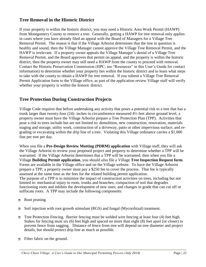#### **Tree Removal in the Historic District**

If your property is within the historic district, you may need a Historic Area Work Permit (HAWP) from Montgomery County to remove a tree. Generally, getting a HAWP for tree removal only applies in cases where you have already filed an appeal with the Board of Managers for a Village Tree Removal Permit. The reason is that if the Village Arborist determines that the tree in question is healthy and sound, then the Village Manager cannot approve the Village Tree Removal Permit, and the HAWP is irrelevant. If a property owner appeals the Village Manager's denial of a Village Tree Removal Permit, and the Board approves that permit on appeal, and the property is within the historic district, then the property owner may still need a HAWP from the county to proceed with removal. Contact the Historic Preservation Commission (HPC; see "Resources" in this User's Guide for contact information) to determine whether your property lies within the historic district and to learn what steps to take with the county to obtain a HAWP for tree removal. If you submit a Village Tree Removal Permit Application form to the Village office, as part of the application review Village staff will verify whether your property is within the historic district.

#### **Tree Protection During Construction Projects**

Village Code requires that before undertaking any activity that poses a potential risk to a tree that has a trunk larger than twenty-four (24)- inches in circumference measured 4½ feet above ground level, a property owner must have the Village Arborist prepare a Tree Protection Plan (TPP). Activities that pose a risk to trees include but are not limited to: demolition, new construction, renovation, materials staging and storage, utility work, construction of a driveway, patio or other impervious surface, and regrading or excavating within the drip line of a tree. Violating this Village ordinance carries a \$1,000 fine per tree per day.

When you file a **Pre-Design Review Meeting (PDRM) application** with Village staff, they will ask the Village Arborist to review your proposed project and property to determine whether a TPP will be warranted. If the Village Arborist determines that a TPP will be warranted, then when you file a Village **Building Permit application**, you should *also* file a Village **Tree Inspection Request form**. Forms are available in the Village office and on the Village website. To have the Village Arborist prepare a TPP, a property owner must pay a \$250 fee to cover the process. That fee is typically assessed at the same time as the fees for the related building permit application. The purpose of a TPP is to minimize the impact of construction activities on trees, including but not limited to: mechanical injury to roots, trunks and branches; compaction of soil that degrades functioning roots and inhibits the development of new ones; and changes in grade that can cut off or suffocate roots. A TPP may include the following components:

- Root pruning.
- Soil injection with root growth stimulant (RGS) and fungal (Mycorrhizal) treatment.
- Tree Protection Fencing. Barrier fencing must be welded wire fencing at least four (4) feet high. Stakes for fencing must six (6) feet high and spaced no more than eight (8) feet apart (or closer) to prevent fence from sagging. Distance of fence from tree will depend on tree diameter and project details, but should protect drip line as much as possible.
- Filter fabric on the ground.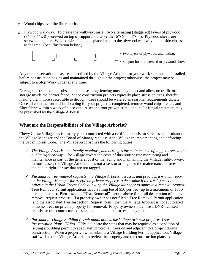- $\Box$  Wood chips over the filter fabric.
- Plywood walkway. To create the walkway, install two alternating (staggered) layers of plywood  $(3/4$ " x 4' x 8') screwed on top of support boards (either 6"x6" or 4"x4"). Plywood sheets are screwed together. Welded wire fencing is placed next to the plywood walkway on the side closest to the tree. (See illustration below.)



Any tree preservation measures prescribed by the Village Arborist for your work site must be installed before construction begins and maintained throughout the project; otherwise, the project may be subject to a Stop Work Order at any time.

During construction and subsequent landscaping, fencing must stay intact and allow no traffic or storage inside the barrier fence. Since construction projects typically place stress on trees, thereby making them more susceptible to drought, trees should be watered as seasonal requirements dictate. Once all construction and landscaping for your project is completed, remove wood chips, fence, and filter fabric within a week of close-out. A second root growth stimulant and/or fungal treatment may be prescribed by the Village Arborist.

#### **What are the Responsibilities of the Village Arborist?**

Chevy Chase Village has for many years contracted with a certified arborist to serve as a consultant to the Village Manager and the Board of Managers to assist the Village in implementing and enforcing the Urban Forest Code. The Village Arborist has the following duties:

- *The Village Arborist continually monitors, and arranges for maintenance of, tagged trees in the public right-of-way*. The Village covers the costs of this routine tree monitoring and maintenance as part of the general cost of managing and maintaining the Village right-of-way. In most cases, the Village Arborist does not assess or arrange for the maintenance of trees in the public right-of-way that are not tagged.
- *Pursuant to tree removal requests, the Village Arborist assesses and provides a written report to the Village Manager for tree(s) on private property to determine if the tree(s) meet the criteria in the Urban Forest Code allowing the Village Manager to approve a removal request*. Tree Removal Permit applications have a filing fee of \$50 per tree (up to a maximum of \$350 per application). Please see the "Tree Removal" section above for a full description of the tree removal request process. If a property owner has not filed a Tree Removal Permit application (and the associated Tree Inspection Request form), then the Village Arborist is not authorized to assess trees on private property for removal. Property owners may hire a DNR-licensed arborist or tree contractor to assess and maintain their trees at any time.
- *Pursuant to Village Building Permit applications, the Village Arborist prepares Tree Preservation Plans (TPPs)*. TPPs delineate the steps that may be required as a condition of issuing a building permit to adequately protect all trees on and adjacent to a project during construction. When a property owner submits a Village Building Permit application, Village staff will ask the Village Arborist to review the property and the construction plans to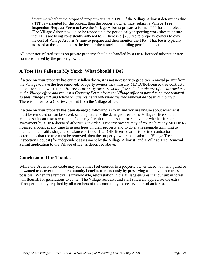determine whether the proposed project warrants a TPP. If the Village Arborist determines that a TPP is warranted for the project, then the property owner must submit a Village **Tree Inspection Request Form** to have the Village Arborist prepare a formal TPP for the project. (The Village Arborist will also be responsible for periodically inspecting work sites to ensure that TPPs are being consistently adhered to.) There is a \$250 fee to property owners to cover the cost of Village Arborist's time to prepare and then monitor the TPP. That fee is typically assessed at the same time as the fees for the associated building permit application.

All other tree-related issues on private property should be handled by a DNR-licensed arborist or tree contractor hired by the property owner.

#### **A Tree Has Fallen in My Yard: What Should I Do?**

If a tree on your property has entirely fallen down, it is not necessary to get a tree removal permit from the Village to have the tree removed. Property owners may hire any MD DNR-licensed tree contractor to remove the downed tree. *However, property owners should first submit a picture of the downed tree to the Village office and request a Courtesy Permit from the Village office to post during tree removal so that Village staff and fellow Village residents will know the tree removal has been authorized*. There is no fee for a Courtesy permit from the Village office.

If a tree on your property has been damaged following a storm and you are unsure about whether it must be removed or can be saved, send a picture of the damaged tree to the Village office so that Village staff can assess whether a Courtesy Permit can be issued for removal or whether further assessment by a DNR-licensed arborist is in order. Property owners may of course hire any MD DNRlicensed arborist at any time to assess trees on their property and to do any reasonable trimming to maintain the health, shape, and balance of trees. If a DNR-licensed arborist or tree contractor determines that the tree must be removed, then the property owner must submit a Village Tree Inspection Request (for independent assessment by the Village Arborist) and a Village Tree Removal Permit application to the Village office, as described above.

#### **Conclusion: Our Thanks**

While the Urban Forest Code may sometimes feel onerous to a property owner faced with an injured or unwanted tree, over time our community benefits tremendously by preserving as many of our trees as possible. When tree removal is unavoidable, reforestation in the Village ensures that our urban forest will flourish for generations to come. The Village residents and staff sincerely appreciate the extra effort periodically required by all members of the community to preserve our urban forest.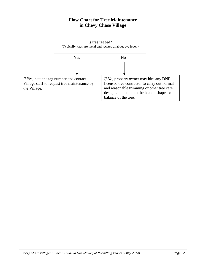## **Flow Chart for Tree Maintenance in Chevy Chase Village**

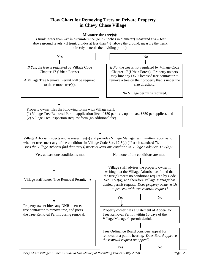#### **Flow Chart for Removing Trees on Private Property in Chevy Chase Village**



*Chevy Chase Village: A User's Guide to Our Municipal Permitting Process (July 2014) Page | 26*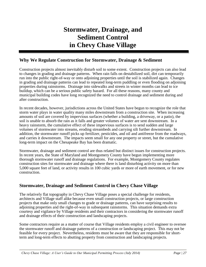# **Stormwater, Drainage, and Sediment Control in Chevy Chase Village**

#### **Why We Regulate Construction for Stormwater, Drainage & Sediment**

Construction projects almost inevitably disturb soil to some extent. Construction projects can also lead to changes in grading and drainage patterns. When rain falls on destabilized soil, dirt can temporarily run into the public right-of-way or onto adjoining properties until the soil is stabilized again. Changes in grading and drainage patterns can lead to repeated long-term puddling or even flooding on adjoining properties during rainstorms. Drainage into sidewalks and streets in winter months can lead to ice buildup, which can be a serious public safety hazard. For all these reasons, many county and municipal building codes have long recognized the need to control drainage and sediment during and after construction.

In recent decades, however, jurisdictions across the United States have begun to recognize the role that storm water plays in water quality many miles downstream from a construction site. When increasing amounts of soil are covered by impervious surfaces (whether a building, a driveway, or a patio), the soil is unable to absorb the rain as it falls and greater volumes of water are sent downstream. In a heavy rainstorm, the cumulative effect of these impervious surfaces is to send sudden and large volumes of stormwater into streams, eroding streambeds and carrying silt further downstream. In addition, the stormwater runoff picks up fertilizer, pesticides, and oil and antifreeze from the roadways, and carries it downstream. The impacts seem small for any one property or street, but the cumulative long-term impact on the Chesapeake Bay has been dramatic.

Stormwater, drainage and sediment control are thus related but distinct issues for construction projects. In recent years, the State of Maryland and Montgomery County have begun implementing more thorough stormwater runoff and drainage regulations. For example, Montgomery County regulates construction sites for stormwater and drainage where there is land disturbing activity on more than 5,000 square feet of land, or activity results in 100 cubic yards or more of earth movement, or for new construction.

#### **Stormwater, Drainage and Sediment Control in Chevy Chase Village**

The relatively flat topography in Chevy Chase Village poses a special challenge for residents, architects and Village staff alike because even small construction projects, or large construction projects that make only small changes to grade or drainage patterns, can have surprising results to adjoining properties and the right-of-way in subsequent rainstorms. This situation demands extra courtesy and vigilance by Village residents and their contractors in considering the stormwater runoff and drainage effects of their construction and landscaping projects.

Some contractors require as a matter of course that Village residents employ a civil engineer to oversee the stormwater runoff and drainage patterns of a construction or landscaping project. This may not be feasible for every project. Nevertheless, residents must be aware that they are responsible for shortterm and long-term effects to abutting property from construction and landscaping projects.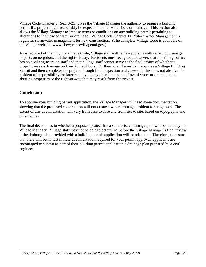Village Code Chapter 8 (Sec. 8-25) gives the Village Manager the authority to require a building permit if a project might reasonably be expected to alter water flow or drainage. This section also allows the Village Manager to impose terms or conditions on any building permit pertaining to alterations to the flow of water or drainage. Village Code Chapter 11 ("Stormwater Management") regulates stormwater management for new construction. (The complete Village Code is available on the Village website: www.chevychasevillagemd.gov.)

As is required of them by the Village Code, Village staff will review projects with regard to drainage impacts on neighbors and the right-of-way. Residents must recognize, however, that the Village office has no civil engineers on staff and that Village staff cannot serve as the final arbiter of whether a project causes a drainage problem to neighbors. Furthermore, if a resident acquires a Village Building Permit and then completes the project through final inspection and close-out, this does not absolve the resident of responsibility for later remedying any alterations to the flow of water or drainage on to abutting properties or the right-of-way that may result from the project.

#### **Conclusion**

To approve your building permit application, the Village Manager will need some documentation showing that the proposed construction will not create a water drainage problem for neighbors. The extent of this documentation will vary from case to case and from site to site, based on topography and other factors.

The final decision as to whether a proposed project has a satisfactory drainage plan will be made by the Village Manager. Village staff may not be able to determine before the Village Manager's final review if the drainage plan provided with a building permit application will be adequate. Therefore, to ensure that there will be no last minute documentation required for your permit approval, applicants are encouraged to submit as part of their building permit application a drainage plan prepared by a civil engineer.